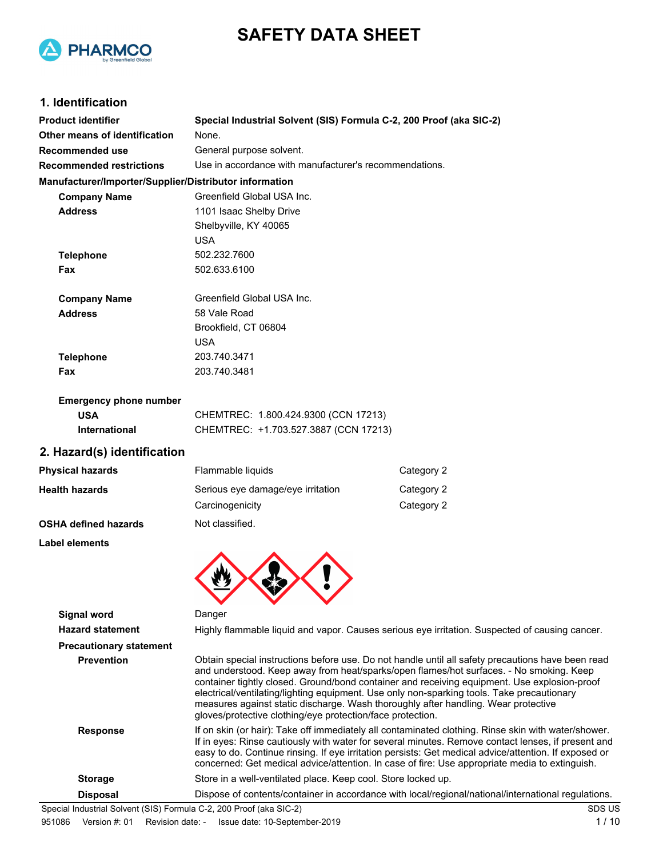



### **1. Identification**

| <b>Product identifier</b>                              | Special Industrial Solvent (SIS) Formula C-2, 200 Proof (aka SIC-2) |                                                                                                                                                                                                                                                                                                                                                                                                                                                                                 |  |
|--------------------------------------------------------|---------------------------------------------------------------------|---------------------------------------------------------------------------------------------------------------------------------------------------------------------------------------------------------------------------------------------------------------------------------------------------------------------------------------------------------------------------------------------------------------------------------------------------------------------------------|--|
| Other means of identification                          | None.                                                               |                                                                                                                                                                                                                                                                                                                                                                                                                                                                                 |  |
| <b>Recommended use</b>                                 | General purpose solvent.                                            |                                                                                                                                                                                                                                                                                                                                                                                                                                                                                 |  |
| <b>Recommended restrictions</b>                        | Use in accordance with manufacturer's recommendations.              |                                                                                                                                                                                                                                                                                                                                                                                                                                                                                 |  |
| Manufacturer/Importer/Supplier/Distributor information |                                                                     |                                                                                                                                                                                                                                                                                                                                                                                                                                                                                 |  |
| <b>Company Name</b>                                    | Greenfield Global USA Inc.                                          |                                                                                                                                                                                                                                                                                                                                                                                                                                                                                 |  |
| <b>Address</b>                                         | 1101 Isaac Shelby Drive                                             |                                                                                                                                                                                                                                                                                                                                                                                                                                                                                 |  |
|                                                        | Shelbyville, KY 40065                                               |                                                                                                                                                                                                                                                                                                                                                                                                                                                                                 |  |
|                                                        | <b>USA</b>                                                          |                                                                                                                                                                                                                                                                                                                                                                                                                                                                                 |  |
| <b>Telephone</b>                                       | 502.232.7600                                                        |                                                                                                                                                                                                                                                                                                                                                                                                                                                                                 |  |
| Fax                                                    | 502.633.6100                                                        |                                                                                                                                                                                                                                                                                                                                                                                                                                                                                 |  |
| <b>Company Name</b>                                    | Greenfield Global USA Inc.                                          |                                                                                                                                                                                                                                                                                                                                                                                                                                                                                 |  |
| <b>Address</b>                                         | 58 Vale Road                                                        |                                                                                                                                                                                                                                                                                                                                                                                                                                                                                 |  |
|                                                        | Brookfield, CT 06804                                                |                                                                                                                                                                                                                                                                                                                                                                                                                                                                                 |  |
|                                                        | <b>USA</b>                                                          |                                                                                                                                                                                                                                                                                                                                                                                                                                                                                 |  |
| <b>Telephone</b>                                       | 203.740.3471                                                        |                                                                                                                                                                                                                                                                                                                                                                                                                                                                                 |  |
| Fax                                                    | 203.740.3481                                                        |                                                                                                                                                                                                                                                                                                                                                                                                                                                                                 |  |
| <b>Emergency phone number</b>                          |                                                                     |                                                                                                                                                                                                                                                                                                                                                                                                                                                                                 |  |
| <b>USA</b>                                             | CHEMTREC: 1.800.424.9300 (CCN 17213)                                |                                                                                                                                                                                                                                                                                                                                                                                                                                                                                 |  |
| <b>International</b>                                   | CHEMTREC: +1.703.527.3887 (CCN 17213)                               |                                                                                                                                                                                                                                                                                                                                                                                                                                                                                 |  |
| 2. Hazard(s) identification                            |                                                                     |                                                                                                                                                                                                                                                                                                                                                                                                                                                                                 |  |
| <b>Physical hazards</b>                                | Flammable liquids                                                   | Category 2                                                                                                                                                                                                                                                                                                                                                                                                                                                                      |  |
| <b>Health hazards</b>                                  | Serious eye damage/eye irritation                                   | Category 2                                                                                                                                                                                                                                                                                                                                                                                                                                                                      |  |
|                                                        | Carcinogenicity                                                     | Category 2                                                                                                                                                                                                                                                                                                                                                                                                                                                                      |  |
| <b>OSHA defined hazards</b>                            | Not classified.                                                     |                                                                                                                                                                                                                                                                                                                                                                                                                                                                                 |  |
| Label elements                                         |                                                                     |                                                                                                                                                                                                                                                                                                                                                                                                                                                                                 |  |
|                                                        |                                                                     |                                                                                                                                                                                                                                                                                                                                                                                                                                                                                 |  |
|                                                        |                                                                     |                                                                                                                                                                                                                                                                                                                                                                                                                                                                                 |  |
| <b>Signal word</b>                                     | Danger                                                              |                                                                                                                                                                                                                                                                                                                                                                                                                                                                                 |  |
| <b>Hazard statement</b>                                |                                                                     | Highly flammable liquid and vapor. Causes serious eye irritation. Suspected of causing cancer.                                                                                                                                                                                                                                                                                                                                                                                  |  |
| <b>Precautionary statement</b>                         |                                                                     |                                                                                                                                                                                                                                                                                                                                                                                                                                                                                 |  |
| Prevention                                             |                                                                     | Obtain special instructions before use. Do not handle until all safety precautions have been rea<br>and understood. Keep away from heat/sparks/open flames/hot surfaces. - No smoking. Keep<br>container tightly closed. Ground/bond container and receiving equipment. Use explosion-proof<br>electrical/ventilating/lighting equipment. Use only non-sparking tools. Take precautionary<br>measures against static discharge. Wash thoroughly after handling. Wear protective |  |

**Previons have been read** No smoking. Keep Use explosion-proof e precautionary measures against static discharge. Wash thoroughly after handling. Wear protective gloves/protective clothing/eye protection/face protection. **Response** If on skin (or hair): Take off immediately all contaminated clothing. Rinse skin with water/shower. If in eyes: Rinse cautiously with water for several minutes. Remove contact lenses, if present and easy to do. Continue rinsing. If eye irritation persists: Get medical advice/attention. If exposed or concerned: Get medical advice/attention. In case of fire: Use appropriate media to extinguish. **Storage** Store in a well-ventilated place. Keep cool. Store locked up. **Disposal** Dispose of contents/container in accordance with local/regional/national/international regulations. Special Industrial Solvent (SIS) Formula C-2, 200 Proof (aka SIC-2) SDS US SDS US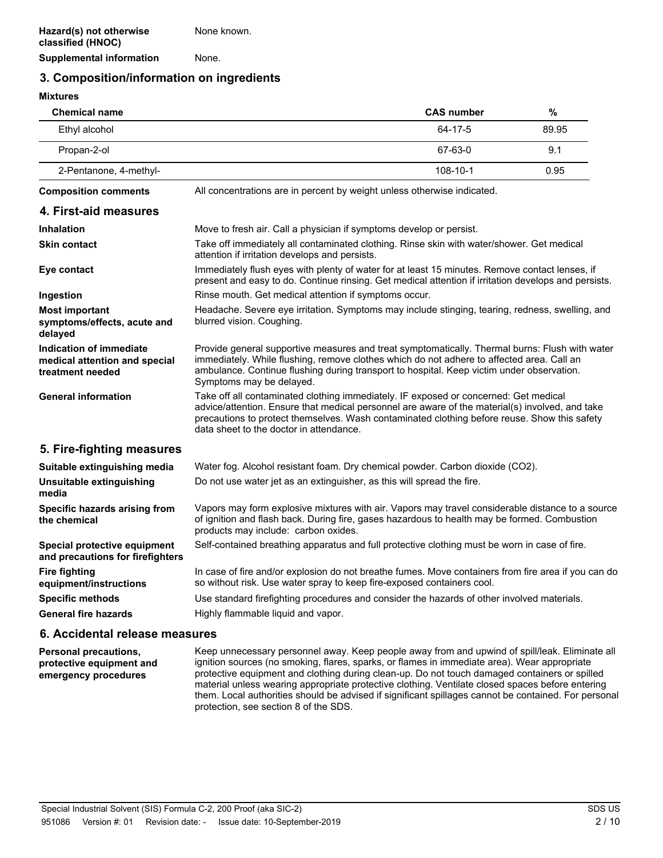### **3. Composition/information on ingredients**

**Mixtures**

| <b>Chemical name</b>                                                         |                                                                                                                                                                                                                                                                                                                                    | <b>CAS number</b> | $\%$  |
|------------------------------------------------------------------------------|------------------------------------------------------------------------------------------------------------------------------------------------------------------------------------------------------------------------------------------------------------------------------------------------------------------------------------|-------------------|-------|
| Ethyl alcohol                                                                |                                                                                                                                                                                                                                                                                                                                    | 64-17-5           | 89.95 |
| Propan-2-ol                                                                  |                                                                                                                                                                                                                                                                                                                                    | 67-63-0           | 9.1   |
| 2-Pentanone, 4-methyl-                                                       |                                                                                                                                                                                                                                                                                                                                    | 108-10-1          | 0.95  |
| <b>Composition comments</b>                                                  | All concentrations are in percent by weight unless otherwise indicated.                                                                                                                                                                                                                                                            |                   |       |
| 4. First-aid measures                                                        |                                                                                                                                                                                                                                                                                                                                    |                   |       |
| <b>Inhalation</b>                                                            | Move to fresh air. Call a physician if symptoms develop or persist.                                                                                                                                                                                                                                                                |                   |       |
| <b>Skin contact</b>                                                          | Take off immediately all contaminated clothing. Rinse skin with water/shower. Get medical<br>attention if irritation develops and persists.                                                                                                                                                                                        |                   |       |
| Eye contact                                                                  | Immediately flush eyes with plenty of water for at least 15 minutes. Remove contact lenses, if<br>present and easy to do. Continue rinsing. Get medical attention if irritation develops and persists.                                                                                                                             |                   |       |
| Ingestion                                                                    | Rinse mouth. Get medical attention if symptoms occur.                                                                                                                                                                                                                                                                              |                   |       |
| <b>Most important</b><br>symptoms/effects, acute and<br>delayed              | Headache. Severe eye irritation. Symptoms may include stinging, tearing, redness, swelling, and<br>blurred vision. Coughing.                                                                                                                                                                                                       |                   |       |
| Indication of immediate<br>medical attention and special<br>treatment needed | Provide general supportive measures and treat symptomatically. Thermal burns: Flush with water<br>immediately. While flushing, remove clothes which do not adhere to affected area. Call an<br>ambulance. Continue flushing during transport to hospital. Keep victim under observation.<br>Symptoms may be delayed.               |                   |       |
| <b>General information</b>                                                   | Take off all contaminated clothing immediately. IF exposed or concerned: Get medical<br>advice/attention. Ensure that medical personnel are aware of the material(s) involved, and take<br>precautions to protect themselves. Wash contaminated clothing before reuse. Show this safety<br>data sheet to the doctor in attendance. |                   |       |
| 5. Fire-fighting measures                                                    |                                                                                                                                                                                                                                                                                                                                    |                   |       |
| Suitable extinguishing media                                                 | Water fog. Alcohol resistant foam. Dry chemical powder. Carbon dioxide (CO2).                                                                                                                                                                                                                                                      |                   |       |
| Unsuitable extinguishing<br>media                                            | Do not use water jet as an extinguisher, as this will spread the fire.                                                                                                                                                                                                                                                             |                   |       |
| Specific hazards arising from<br>the chemical                                | Vapors may form explosive mixtures with air. Vapors may travel considerable distance to a source<br>of ignition and flash back. During fire, gases hazardous to health may be formed. Combustion<br>products may include: carbon oxides.                                                                                           |                   |       |
| Special protective equipment<br>and precautions for firefighters             | Self-contained breathing apparatus and full protective clothing must be worn in case of fire.                                                                                                                                                                                                                                      |                   |       |
| <b>Fire fighting</b><br>equipment/instructions                               | In case of fire and/or explosion do not breathe fumes. Move containers from fire area if you can do<br>so without risk. Use water spray to keep fire-exposed containers cool.                                                                                                                                                      |                   |       |
| <b>Specific methods</b><br><b>General fire hazards</b>                       | Use standard firefighting procedures and consider the hazards of other involved materials.<br>Highly flammable liquid and vapor.                                                                                                                                                                                                   |                   |       |
|                                                                              |                                                                                                                                                                                                                                                                                                                                    |                   |       |

### **6. Accidental release measures**

Keep unnecessary personnel away. Keep people away from and upwind of spill/leak. Eliminate all ignition sources (no smoking, flares, sparks, or flames in immediate area). Wear appropriate protective equipment and clothing during clean-up. Do not touch damaged containers or spilled material unless wearing appropriate protective clothing. Ventilate closed spaces before entering them. Local authorities should be advised if significant spillages cannot be contained. For personal protection, see section 8 of the SDS. **Personal precautions, protective equipment and emergency procedures**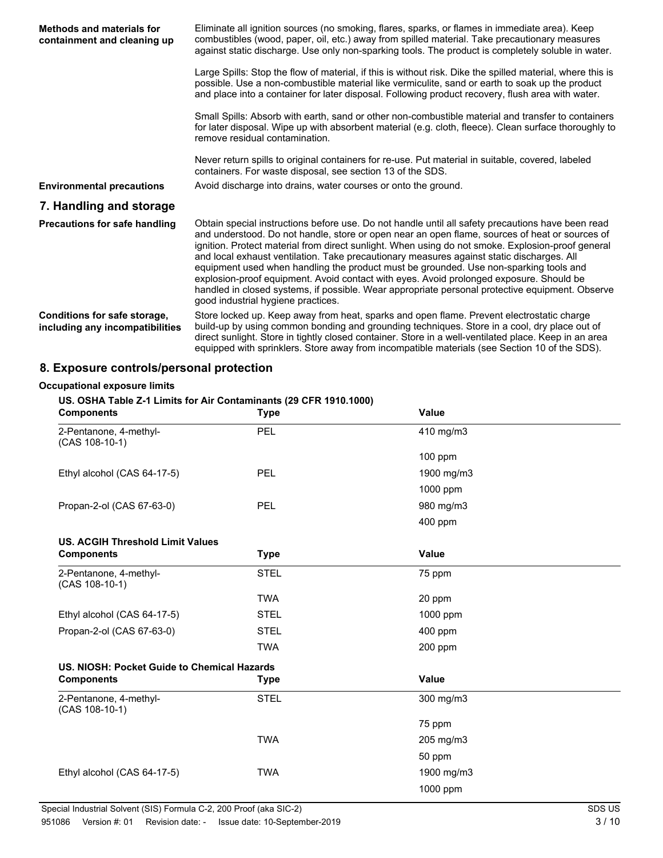| <b>Methods and materials for</b><br>containment and cleaning up | Eliminate all ignition sources (no smoking, flares, sparks, or flames in immediate area). Keep<br>combustibles (wood, paper, oil, etc.) away from spilled material. Take precautionary measures<br>against static discharge. Use only non-sparking tools. The product is completely soluble in water.                                                                                                                                                                                                                                                                                                                                                                                                                              |  |  |
|-----------------------------------------------------------------|------------------------------------------------------------------------------------------------------------------------------------------------------------------------------------------------------------------------------------------------------------------------------------------------------------------------------------------------------------------------------------------------------------------------------------------------------------------------------------------------------------------------------------------------------------------------------------------------------------------------------------------------------------------------------------------------------------------------------------|--|--|
|                                                                 | Large Spills: Stop the flow of material, if this is without risk. Dike the spilled material, where this is<br>possible. Use a non-combustible material like vermiculite, sand or earth to soak up the product<br>and place into a container for later disposal. Following product recovery, flush area with water.                                                                                                                                                                                                                                                                                                                                                                                                                 |  |  |
|                                                                 | Small Spills: Absorb with earth, sand or other non-combustible material and transfer to containers<br>for later disposal. Wipe up with absorbent material (e.g. cloth, fleece). Clean surface thoroughly to<br>remove residual contamination.                                                                                                                                                                                                                                                                                                                                                                                                                                                                                      |  |  |
|                                                                 | Never return spills to original containers for re-use. Put material in suitable, covered, labeled<br>containers. For waste disposal, see section 13 of the SDS.                                                                                                                                                                                                                                                                                                                                                                                                                                                                                                                                                                    |  |  |
| <b>Environmental precautions</b>                                | Avoid discharge into drains, water courses or onto the ground.                                                                                                                                                                                                                                                                                                                                                                                                                                                                                                                                                                                                                                                                     |  |  |
| 7. Handling and storage                                         |                                                                                                                                                                                                                                                                                                                                                                                                                                                                                                                                                                                                                                                                                                                                    |  |  |
| Precautions for safe handling                                   | Obtain special instructions before use. Do not handle until all safety precautions have been read<br>and understood. Do not handle, store or open near an open flame, sources of heat or sources of<br>ignition. Protect material from direct sunlight. When using do not smoke. Explosion-proof general<br>and local exhaust ventilation. Take precautionary measures against static discharges. All<br>equipment used when handling the product must be grounded. Use non-sparking tools and<br>explosion-proof equipment. Avoid contact with eyes. Avoid prolonged exposure. Should be<br>handled in closed systems, if possible. Wear appropriate personal protective equipment. Observe<br>good industrial hygiene practices. |  |  |
| Conditions for safe storage,<br>including any incompatibilities | Store locked up. Keep away from heat, sparks and open flame. Prevent electrostatic charge<br>build-up by using common bonding and grounding techniques. Store in a cool, dry place out of<br>direct sunlight. Store in tightly closed container. Store in a well-ventilated place. Keep in an area<br>equipped with sprinklers. Store away from incompatible materials (see Section 10 of the SDS).                                                                                                                                                                                                                                                                                                                                |  |  |

# **8. Exposure controls/personal protection**

#### **Occupational exposure limits**

### **US. OSHA Table Z-1 Limits for Air Contaminants (29 CFR 1910.1000)**

| <b>Components</b>                           | <b>Type</b> | Value        |  |
|---------------------------------------------|-------------|--------------|--|
| 2-Pentanone, 4-methyl-<br>$(CAS 108-10-1)$  | PEL         | 410 mg/m3    |  |
|                                             |             | $100$ ppm    |  |
| Ethyl alcohol (CAS 64-17-5)                 | PEL         | 1900 mg/m3   |  |
|                                             |             | 1000 ppm     |  |
| Propan-2-ol (CAS 67-63-0)                   | PEL         | 980 mg/m3    |  |
|                                             |             | 400 ppm      |  |
| <b>US. ACGIH Threshold Limit Values</b>     |             |              |  |
| <b>Components</b>                           | <b>Type</b> | <b>Value</b> |  |
| 2-Pentanone, 4-methyl-<br>$(CAS 108-10-1)$  | <b>STEL</b> | 75 ppm       |  |
|                                             | <b>TWA</b>  | 20 ppm       |  |
| Ethyl alcohol (CAS 64-17-5)                 | <b>STEL</b> | 1000 ppm     |  |
| Propan-2-ol (CAS 67-63-0)                   | <b>STEL</b> | 400 ppm      |  |
|                                             | <b>TWA</b>  | $200$ ppm    |  |
| US. NIOSH: Pocket Guide to Chemical Hazards |             |              |  |
| <b>Components</b>                           | <b>Type</b> | Value        |  |
| 2-Pentanone, 4-methyl-<br>$(CAS 108-10-1)$  | <b>STEL</b> | 300 mg/m3    |  |
|                                             |             | 75 ppm       |  |
|                                             | <b>TWA</b>  | 205 mg/m3    |  |
|                                             |             | 50 ppm       |  |
| Ethyl alcohol (CAS 64-17-5)                 | <b>TWA</b>  | 1900 mg/m3   |  |
|                                             |             | 1000 ppm     |  |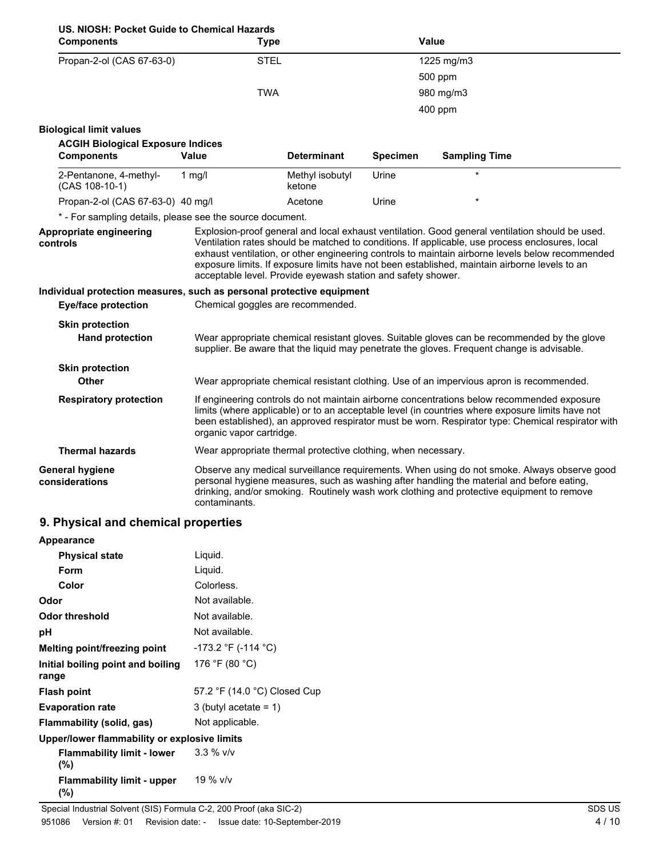| US. NIOSH: Pocket Guide to Chemical Hazards<br><b>Components</b>                  | <b>Type</b>                                                   |                           |                 | Value                                                                                                                                                                                                                                                                                                |  |
|-----------------------------------------------------------------------------------|---------------------------------------------------------------|---------------------------|-----------------|------------------------------------------------------------------------------------------------------------------------------------------------------------------------------------------------------------------------------------------------------------------------------------------------------|--|
| Propan-2-ol (CAS 67-63-0)                                                         | <b>STEL</b>                                                   |                           |                 | 1225 mg/m3                                                                                                                                                                                                                                                                                           |  |
|                                                                                   |                                                               |                           |                 | 500 ppm                                                                                                                                                                                                                                                                                              |  |
|                                                                                   | <b>TWA</b>                                                    |                           |                 | 980 mg/m3                                                                                                                                                                                                                                                                                            |  |
|                                                                                   |                                                               |                           |                 | 400 ppm                                                                                                                                                                                                                                                                                              |  |
| <b>Biological limit values</b>                                                    |                                                               |                           |                 |                                                                                                                                                                                                                                                                                                      |  |
| <b>ACGIH Biological Exposure Indices</b>                                          |                                                               |                           |                 |                                                                                                                                                                                                                                                                                                      |  |
| <b>Components</b>                                                                 | <b>Value</b>                                                  | <b>Determinant</b>        | <b>Specimen</b> | <b>Sampling Time</b>                                                                                                                                                                                                                                                                                 |  |
| 2-Pentanone, 4-methyl-<br>(CAS 108-10-1)                                          | 1 $mg/l$                                                      | Methyl isobutyl<br>ketone | Urine           | $\star$                                                                                                                                                                                                                                                                                              |  |
| Propan-2-ol (CAS 67-63-0) 40 mg/l                                                 |                                                               | Acetone                   | Urine           |                                                                                                                                                                                                                                                                                                      |  |
| * - For sampling details, please see the source document.                         |                                                               |                           |                 |                                                                                                                                                                                                                                                                                                      |  |
| controls<br>Individual protection measures, such as personal protective equipment | acceptable level. Provide eyewash station and safety shower.  |                           |                 | Ventilation rates should be matched to conditions. If applicable, use process enclosures, local<br>exhaust ventilation, or other engineering controls to maintain airborne levels below recommended<br>exposure limits. If exposure limits have not been established, maintain airborne levels to an |  |
| <b>Eye/face protection</b>                                                        | Chemical goggles are recommended.                             |                           |                 |                                                                                                                                                                                                                                                                                                      |  |
|                                                                                   |                                                               |                           |                 |                                                                                                                                                                                                                                                                                                      |  |
| <b>Skin protection</b><br><b>Hand protection</b>                                  |                                                               |                           |                 | Wear appropriate chemical resistant gloves. Suitable gloves can be recommended by the glove<br>supplier. Be aware that the liquid may penetrate the gloves. Frequent change is advisable.                                                                                                            |  |
| <b>Skin protection</b>                                                            |                                                               |                           |                 |                                                                                                                                                                                                                                                                                                      |  |
| Other                                                                             |                                                               |                           |                 | Wear appropriate chemical resistant clothing. Use of an impervious apron is recommended.                                                                                                                                                                                                             |  |
| <b>Respiratory protection</b>                                                     | organic vapor cartridge.                                      |                           |                 | If engineering controls do not maintain airborne concentrations below recommended exposure<br>limits (where applicable) or to an acceptable level (in countries where exposure limits have not<br>been established), an approved respirator must be worn. Respirator type: Chemical respirator with  |  |
| <b>Thermal hazards</b>                                                            | Wear appropriate thermal protective clothing, when necessary. |                           |                 |                                                                                                                                                                                                                                                                                                      |  |
| General hygiene<br>considerations                                                 | contaminants.                                                 |                           |                 | Observe any medical surveillance requirements. When using do not smoke. Always observe good<br>personal hygiene measures, such as washing after handling the material and before eating,<br>drinking, and/or smoking. Routinely wash work clothing and protective equipment to remove                |  |

# **9. Physical and chemical properties**

| Appearance                                              |                              |  |  |
|---------------------------------------------------------|------------------------------|--|--|
| <b>Physical state</b>                                   | Liquid.                      |  |  |
| Form                                                    | Liquid.                      |  |  |
| Color                                                   | Colorless.                   |  |  |
| Odor                                                    | Not available.               |  |  |
| Odor threshold                                          | Not available.               |  |  |
| рH                                                      | Not available.               |  |  |
| Melting point/freezing point                            | $-173.2$ °F (-114 °C)        |  |  |
| Initial boiling point and boiling<br>range              | 176 °F (80 °C)               |  |  |
| <b>Flash point</b>                                      | 57.2 °F (14.0 °C) Closed Cup |  |  |
| <b>Evaporation rate</b>                                 | 3 (butyl acetate = $1$ )     |  |  |
| Flammability (solid, gas)                               | Not applicable.              |  |  |
| Upper/lower flammability or explosive limits            |                              |  |  |
| <b>Flammability limit - lower</b> $3.3\%$ v/v<br>$(\%)$ |                              |  |  |
| <b>Flammability limit - upper</b><br>(%)                | 19 % v/v                     |  |  |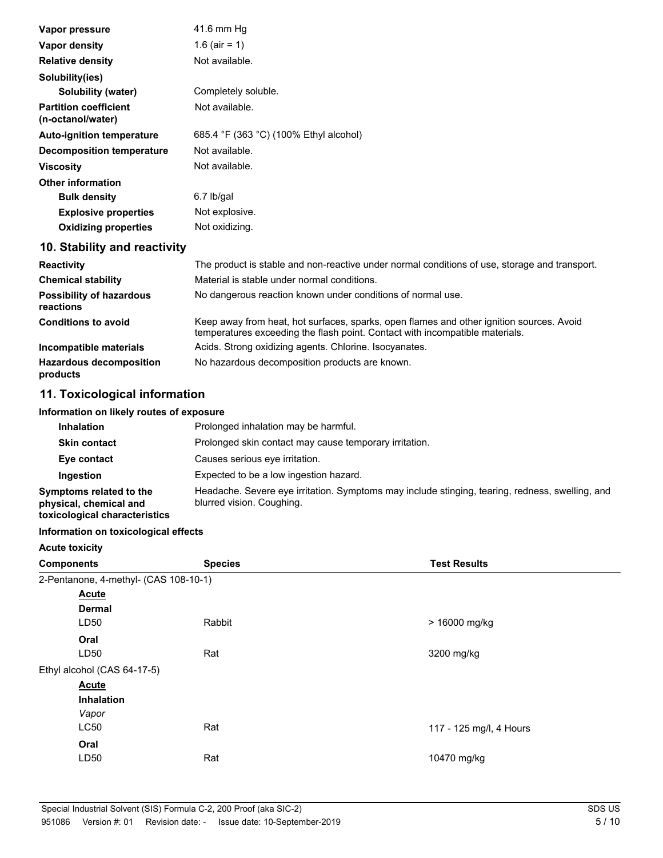| Vapor pressure                                    | 41.6 mm Hg                                                                                                                                                               |
|---------------------------------------------------|--------------------------------------------------------------------------------------------------------------------------------------------------------------------------|
| Vapor density                                     | 1.6 (air = 1)                                                                                                                                                            |
| <b>Relative density</b>                           | Not available.                                                                                                                                                           |
| Solubility(ies)                                   |                                                                                                                                                                          |
| Solubility (water)                                | Completely soluble.                                                                                                                                                      |
| <b>Partition coefficient</b><br>(n-octanol/water) | Not available.                                                                                                                                                           |
| <b>Auto-ignition temperature</b>                  | 685.4 °F (363 °C) (100% Ethyl alcohol)                                                                                                                                   |
| <b>Decomposition temperature</b>                  | Not available.                                                                                                                                                           |
| <b>Viscosity</b>                                  | Not available.                                                                                                                                                           |
| <b>Other information</b>                          |                                                                                                                                                                          |
| <b>Bulk density</b>                               | $6.7$ lb/gal                                                                                                                                                             |
| <b>Explosive properties</b>                       | Not explosive.                                                                                                                                                           |
| <b>Oxidizing properties</b>                       | Not oxidizing.                                                                                                                                                           |
| 10. Stability and reactivity                      |                                                                                                                                                                          |
| <b>Reactivity</b>                                 | The product is stable and non-reactive under normal conditions of use, storage and transport.                                                                            |
| <b>Chemical stability</b>                         | Material is stable under normal conditions.                                                                                                                              |
| <b>Possibility of hazardous</b><br>reactions      | No dangerous reaction known under conditions of normal use.                                                                                                              |
| <b>Conditions to avoid</b>                        | Keep away from heat, hot surfaces, sparks, open flames and other ignition sources. Avoid<br>temperatures exceeding the flash point. Contact with incompatible materials. |

| Incompatible materials                     | Acids. Strong oxidizing agents. Chlorine. Isocyanates. |
|--------------------------------------------|--------------------------------------------------------|
| <b>Hazardous decomposition</b><br>products | No hazardous decomposition products are known.         |

# **11. Toxicological information**

#### **Information on likely routes of exposure**

| <b>Inhalation</b>                                                                  | Prolonged inhalation may be harmful.                                                                                         |
|------------------------------------------------------------------------------------|------------------------------------------------------------------------------------------------------------------------------|
| <b>Skin contact</b>                                                                | Prolonged skin contact may cause temporary irritation.                                                                       |
| Eye contact                                                                        | Causes serious eye irritation.                                                                                               |
| Ingestion                                                                          | Expected to be a low ingestion hazard.                                                                                       |
| Symptoms related to the<br>physical, chemical and<br>toxicological characteristics | Headache. Severe eye irritation. Symptoms may include stinging, tearing, redness, swelling, and<br>blurred vision. Coughing. |

### **Information on toxicological effects**

| <b>Acute toxicity</b>                 |                |                         |
|---------------------------------------|----------------|-------------------------|
| <b>Components</b>                     | <b>Species</b> | <b>Test Results</b>     |
| 2-Pentanone, 4-methyl- (CAS 108-10-1) |                |                         |
| <b>Acute</b>                          |                |                         |
| <b>Dermal</b>                         |                |                         |
| LD50                                  | Rabbit         | > 16000 mg/kg           |
| Oral                                  |                |                         |
| LD50                                  | Rat            | 3200 mg/kg              |
| Ethyl alcohol (CAS 64-17-5)           |                |                         |
| <b>Acute</b>                          |                |                         |
| <b>Inhalation</b>                     |                |                         |
| Vapor                                 |                |                         |
| <b>LC50</b>                           | Rat            | 117 - 125 mg/l, 4 Hours |
| Oral                                  |                |                         |
| LD50                                  | Rat            | 10470 mg/kg             |
|                                       |                |                         |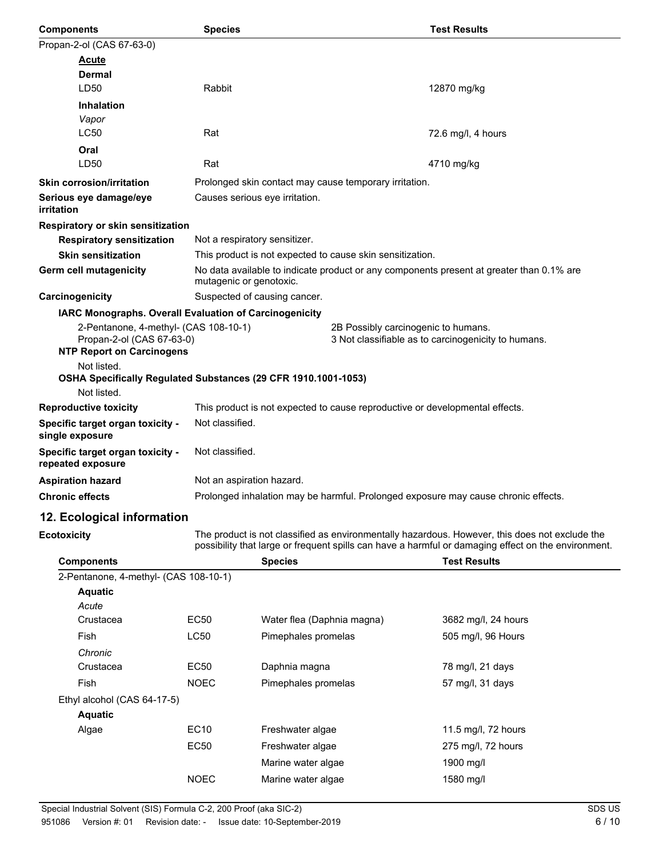| <b>Components</b>                                                                                      | <b>Species</b>                                                 | <b>Test Results</b>                                                                                                                                                                                   |
|--------------------------------------------------------------------------------------------------------|----------------------------------------------------------------|-------------------------------------------------------------------------------------------------------------------------------------------------------------------------------------------------------|
| Propan-2-ol (CAS 67-63-0)                                                                              |                                                                |                                                                                                                                                                                                       |
| Acute                                                                                                  |                                                                |                                                                                                                                                                                                       |
| <b>Dermal</b>                                                                                          |                                                                |                                                                                                                                                                                                       |
| LD50                                                                                                   | Rabbit                                                         | 12870 mg/kg                                                                                                                                                                                           |
| <b>Inhalation</b>                                                                                      |                                                                |                                                                                                                                                                                                       |
| Vapor                                                                                                  |                                                                |                                                                                                                                                                                                       |
| <b>LC50</b>                                                                                            | Rat                                                            | 72.6 mg/l, 4 hours                                                                                                                                                                                    |
| Oral                                                                                                   |                                                                |                                                                                                                                                                                                       |
| LD50                                                                                                   | Rat                                                            | 4710 mg/kg                                                                                                                                                                                            |
| <b>Skin corrosion/irritation</b>                                                                       | Prolonged skin contact may cause temporary irritation.         |                                                                                                                                                                                                       |
| Serious eye damage/eye<br>irritation                                                                   | Causes serious eye irritation.                                 |                                                                                                                                                                                                       |
| <b>Respiratory or skin sensitization</b>                                                               |                                                                |                                                                                                                                                                                                       |
| <b>Respiratory sensitization</b>                                                                       | Not a respiratory sensitizer.                                  |                                                                                                                                                                                                       |
| <b>Skin sensitization</b>                                                                              | This product is not expected to cause skin sensitization.      |                                                                                                                                                                                                       |
| Germ cell mutagenicity                                                                                 | mutagenic or genotoxic.                                        | No data available to indicate product or any components present at greater than 0.1% are                                                                                                              |
| Carcinogenicity                                                                                        | Suspected of causing cancer.                                   |                                                                                                                                                                                                       |
|                                                                                                        | <b>IARC Monographs. Overall Evaluation of Carcinogenicity</b>  |                                                                                                                                                                                                       |
| 2-Pentanone, 4-methyl- (CAS 108-10-1)<br>Propan-2-ol (CAS 67-63-0)<br><b>NTP Report on Carcinogens</b> |                                                                | 2B Possibly carcinogenic to humans.<br>3 Not classifiable as to carcinogenicity to humans.                                                                                                            |
| Not listed.                                                                                            |                                                                |                                                                                                                                                                                                       |
|                                                                                                        | OSHA Specifically Regulated Substances (29 CFR 1910.1001-1053) |                                                                                                                                                                                                       |
| Not listed.                                                                                            |                                                                |                                                                                                                                                                                                       |
| <b>Reproductive toxicity</b>                                                                           |                                                                | This product is not expected to cause reproductive or developmental effects.                                                                                                                          |
| Specific target organ toxicity -<br>single exposure                                                    | Not classified.                                                |                                                                                                                                                                                                       |
| Specific target organ toxicity -<br>repeated exposure                                                  | Not classified.                                                |                                                                                                                                                                                                       |
| <b>Aspiration hazard</b>                                                                               | Not an aspiration hazard.                                      |                                                                                                                                                                                                       |
| <b>Chronic effects</b>                                                                                 |                                                                | Prolonged inhalation may be harmful. Prolonged exposure may cause chronic effects.                                                                                                                    |
| 12. Ecological information                                                                             |                                                                |                                                                                                                                                                                                       |
| <b>Ecotoxicity</b>                                                                                     |                                                                | The product is not classified as environmentally hazardous. However, this does not exclude the<br>possibility that large or frequent spills can have a harmful or damaging effect on the environment. |
| <b>Components</b>                                                                                      | <b>Species</b>                                                 | <b>Test Results</b>                                                                                                                                                                                   |
| 2 Depterance 4 mothul (CAC 400 40 4)                                                                   |                                                                |                                                                                                                                                                                                       |

| 2-Pentanone, 4-methyl- (CAS 108-10-1) |             |                            |                     |  |
|---------------------------------------|-------------|----------------------------|---------------------|--|
| <b>Aquatic</b>                        |             |                            |                     |  |
| Acute                                 |             |                            |                     |  |
| Crustacea                             | <b>EC50</b> | Water flea (Daphnia magna) | 3682 mg/l, 24 hours |  |
| Fish                                  | <b>LC50</b> | Pimephales promelas        | 505 mg/l, 96 Hours  |  |
| Chronic                               |             |                            |                     |  |
| Crustacea                             | <b>EC50</b> | Daphnia magna              | 78 mg/l, 21 days    |  |
| Fish                                  | <b>NOEC</b> | Pimephales promelas        | 57 mg/l, 31 days    |  |
| Ethyl alcohol (CAS 64-17-5)           |             |                            |                     |  |
| <b>Aquatic</b>                        |             |                            |                     |  |
| Algae                                 | <b>EC10</b> | Freshwater algae           | 11.5 mg/l, 72 hours |  |
|                                       | <b>EC50</b> | Freshwater algae           | 275 mg/l, 72 hours  |  |
|                                       |             | Marine water algae         | 1900 mg/l           |  |
|                                       | <b>NOEC</b> | Marine water algae         | 1580 mg/l           |  |
|                                       |             |                            |                     |  |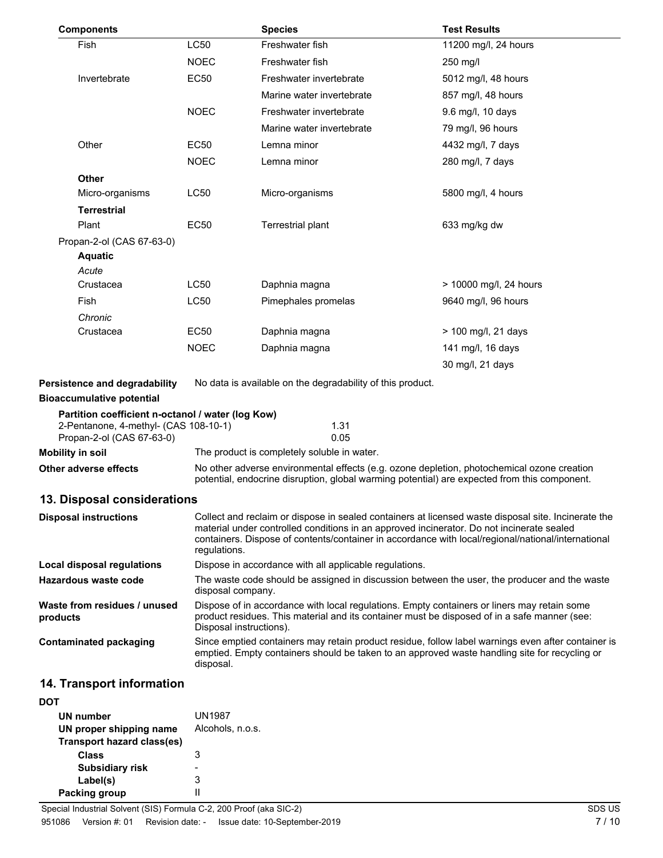| <b>Components</b>                                                                                                       |             | <b>Species</b>                                                                                                                                                                                                                                                                                                         | <b>Test Results</b>    |  |  |
|-------------------------------------------------------------------------------------------------------------------------|-------------|------------------------------------------------------------------------------------------------------------------------------------------------------------------------------------------------------------------------------------------------------------------------------------------------------------------------|------------------------|--|--|
| Fish                                                                                                                    | LC50        | Freshwater fish                                                                                                                                                                                                                                                                                                        | 11200 mg/l, 24 hours   |  |  |
|                                                                                                                         | <b>NOEC</b> | Freshwater fish                                                                                                                                                                                                                                                                                                        | 250 mg/l               |  |  |
| Invertebrate                                                                                                            | <b>EC50</b> | Freshwater invertebrate                                                                                                                                                                                                                                                                                                | 5012 mg/l, 48 hours    |  |  |
|                                                                                                                         |             | Marine water invertebrate                                                                                                                                                                                                                                                                                              | 857 mg/l, 48 hours     |  |  |
|                                                                                                                         | <b>NOEC</b> | Freshwater invertebrate                                                                                                                                                                                                                                                                                                | 9.6 mg/l, 10 days      |  |  |
|                                                                                                                         |             | Marine water invertebrate                                                                                                                                                                                                                                                                                              | 79 mg/l, 96 hours      |  |  |
| Other                                                                                                                   | EC50        | Lemna minor                                                                                                                                                                                                                                                                                                            | 4432 mg/l, 7 days      |  |  |
|                                                                                                                         | <b>NOEC</b> | Lemna minor                                                                                                                                                                                                                                                                                                            | 280 mg/l, 7 days       |  |  |
| <b>Other</b>                                                                                                            |             |                                                                                                                                                                                                                                                                                                                        |                        |  |  |
| Micro-organisms                                                                                                         | LC50        | Micro-organisms                                                                                                                                                                                                                                                                                                        | 5800 mg/l, 4 hours     |  |  |
| <b>Terrestrial</b>                                                                                                      |             |                                                                                                                                                                                                                                                                                                                        |                        |  |  |
| Plant                                                                                                                   | EC50        | Terrestrial plant                                                                                                                                                                                                                                                                                                      | 633 mg/kg dw           |  |  |
| Propan-2-ol (CAS 67-63-0)                                                                                               |             |                                                                                                                                                                                                                                                                                                                        |                        |  |  |
| <b>Aquatic</b>                                                                                                          |             |                                                                                                                                                                                                                                                                                                                        |                        |  |  |
| Acute                                                                                                                   |             |                                                                                                                                                                                                                                                                                                                        |                        |  |  |
| Crustacea                                                                                                               | <b>LC50</b> | Daphnia magna                                                                                                                                                                                                                                                                                                          | > 10000 mg/l, 24 hours |  |  |
| Fish                                                                                                                    | <b>LC50</b> | Pimephales promelas                                                                                                                                                                                                                                                                                                    | 9640 mg/l, 96 hours    |  |  |
| Chronic                                                                                                                 |             |                                                                                                                                                                                                                                                                                                                        |                        |  |  |
| Crustacea                                                                                                               | EC50        | Daphnia magna                                                                                                                                                                                                                                                                                                          | > 100 mg/l, 21 days    |  |  |
|                                                                                                                         | <b>NOEC</b> | Daphnia magna                                                                                                                                                                                                                                                                                                          | 141 mg/l, 16 days      |  |  |
|                                                                                                                         |             |                                                                                                                                                                                                                                                                                                                        | 30 mg/l, 21 days       |  |  |
| Persistence and degradability                                                                                           |             | No data is available on the degradability of this product.                                                                                                                                                                                                                                                             |                        |  |  |
| <b>Bioaccumulative potential</b>                                                                                        |             |                                                                                                                                                                                                                                                                                                                        |                        |  |  |
| Partition coefficient n-octanol / water (log Kow)<br>2-Pentanone, 4-methyl- (CAS 108-10-1)<br>Propan-2-ol (CAS 67-63-0) |             | 1.31<br>0.05                                                                                                                                                                                                                                                                                                           |                        |  |  |
| <b>Mobility in soil</b>                                                                                                 |             | The product is completely soluble in water.                                                                                                                                                                                                                                                                            |                        |  |  |
| Other adverse effects                                                                                                   |             | No other adverse environmental effects (e.g. ozone depletion, photochemical ozone creation<br>potential, endocrine disruption, global warming potential) are expected from this component.                                                                                                                             |                        |  |  |
| 13. Disposal considerations                                                                                             |             |                                                                                                                                                                                                                                                                                                                        |                        |  |  |
| <b>Disposal instructions</b>                                                                                            |             | Collect and reclaim or dispose in sealed containers at licensed waste disposal site. Incinerate the<br>material under controlled conditions in an approved incinerator. Do not incinerate sealed<br>containers. Dispose of contents/container in accordance with local/regional/national/international<br>regulations. |                        |  |  |
| <b>Local disposal regulations</b>                                                                                       |             | Dispose in accordance with all applicable regulations.                                                                                                                                                                                                                                                                 |                        |  |  |
| Hazardous waste code                                                                                                    |             | The waste code should be assigned in discussion between the user, the producer and the waste<br>disposal company.                                                                                                                                                                                                      |                        |  |  |
| Waste from residues / unused<br>products                                                                                |             | Dispose of in accordance with local regulations. Empty containers or liners may retain some<br>product residues. This material and its container must be disposed of in a safe manner (see:<br>Disposal instructions).                                                                                                 |                        |  |  |
| <b>Contaminated packaging</b>                                                                                           | disposal.   | Since emptied containers may retain product residue, follow label warnings even after container is<br>emptied. Empty containers should be taken to an approved waste handling site for recycling or                                                                                                                    |                        |  |  |
| 14 Transnort information                                                                                                |             |                                                                                                                                                                                                                                                                                                                        |                        |  |  |

# **14. Transport information**

| DOT                        |                  |
|----------------------------|------------------|
| UN number                  | <b>UN1987</b>    |
| UN proper shipping name    | Alcohols, n.o.s. |
| Transport hazard class(es) |                  |
| Class                      | 3                |
| <b>Subsidiary risk</b>     |                  |
| Label(s)                   | з                |
| Packing group              |                  |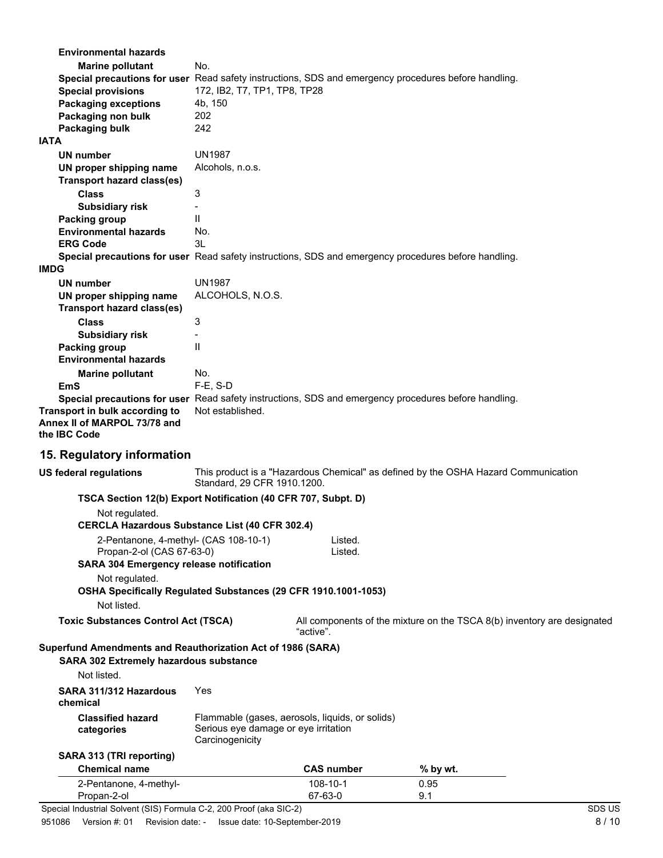| <b>Environmental hazards</b>                                                                         |                                                         |                                                 |                                                                                    |  |
|------------------------------------------------------------------------------------------------------|---------------------------------------------------------|-------------------------------------------------|------------------------------------------------------------------------------------|--|
| <b>Marine pollutant</b>                                                                              | No.                                                     |                                                 |                                                                                    |  |
| Special precautions for user Read safety instructions, SDS and emergency procedures before handling. |                                                         |                                                 |                                                                                    |  |
| <b>Special provisions</b>                                                                            | 172, IB2, T7, TP1, TP8, TP28                            |                                                 |                                                                                    |  |
| <b>Packaging exceptions</b>                                                                          | 4b, 150                                                 |                                                 |                                                                                    |  |
| Packaging non bulk                                                                                   | 202                                                     |                                                 |                                                                                    |  |
| Packaging bulk                                                                                       | 242                                                     |                                                 |                                                                                    |  |
| <b>IATA</b>                                                                                          |                                                         |                                                 |                                                                                    |  |
| UN number                                                                                            | <b>UN1987</b>                                           |                                                 |                                                                                    |  |
| UN proper shipping name                                                                              | Alcohols, n.o.s.                                        |                                                 |                                                                                    |  |
| <b>Transport hazard class(es)</b>                                                                    |                                                         |                                                 |                                                                                    |  |
| <b>Class</b>                                                                                         | 3                                                       |                                                 |                                                                                    |  |
| <b>Subsidiary risk</b>                                                                               |                                                         |                                                 |                                                                                    |  |
| Packing group                                                                                        | $\mathbf{H}$                                            |                                                 |                                                                                    |  |
| <b>Environmental hazards</b>                                                                         | No.                                                     |                                                 |                                                                                    |  |
| <b>ERG Code</b>                                                                                      | 3L                                                      |                                                 |                                                                                    |  |
| Special precautions for user Read safety instructions, SDS and emergency procedures before handling. |                                                         |                                                 |                                                                                    |  |
| <b>IMDG</b>                                                                                          |                                                         |                                                 |                                                                                    |  |
| <b>UN number</b>                                                                                     | <b>UN1987</b>                                           |                                                 |                                                                                    |  |
| UN proper shipping name                                                                              | ALCOHOLS, N.O.S.                                        |                                                 |                                                                                    |  |
| <b>Transport hazard class(es)</b>                                                                    |                                                         |                                                 |                                                                                    |  |
| <b>Class</b>                                                                                         | 3                                                       |                                                 |                                                                                    |  |
| <b>Subsidiary risk</b>                                                                               |                                                         |                                                 |                                                                                    |  |
| Packing group                                                                                        | $\mathbf{H}$                                            |                                                 |                                                                                    |  |
| <b>Environmental hazards</b>                                                                         |                                                         |                                                 |                                                                                    |  |
|                                                                                                      | No.                                                     |                                                 |                                                                                    |  |
| <b>Marine pollutant</b><br>EmS                                                                       | $F-E$ , S-D                                             |                                                 |                                                                                    |  |
| Special precautions for user Read safety instructions, SDS and emergency procedures before handling. |                                                         |                                                 |                                                                                    |  |
| Transport in bulk according to                                                                       | Not established.                                        |                                                 |                                                                                    |  |
| Annex II of MARPOL 73/78 and<br>the <b>IBC</b> Code                                                  |                                                         |                                                 |                                                                                    |  |
| 15. Regulatory information                                                                           |                                                         |                                                 |                                                                                    |  |
| <b>US federal regulations</b>                                                                        | Standard, 29 CFR 1910.1200.                             |                                                 | This product is a "Hazardous Chemical" as defined by the OSHA Hazard Communication |  |
| TSCA Section 12(b) Export Notification (40 CFR 707, Subpt. D)                                        |                                                         |                                                 |                                                                                    |  |
| Not regulated.                                                                                       |                                                         |                                                 |                                                                                    |  |
| <b>CERCLA Hazardous Substance List (40 CFR 302.4)</b>                                                |                                                         |                                                 |                                                                                    |  |
| 2-Pentanone, 4-methyl- (CAS 108-10-1)                                                                |                                                         | Listed.                                         |                                                                                    |  |
| Propan-2-ol (CAS 67-63-0)                                                                            |                                                         | Listed.                                         |                                                                                    |  |
| <b>SARA 304 Emergency release notification</b>                                                       |                                                         |                                                 |                                                                                    |  |
| Not regulated.                                                                                       |                                                         |                                                 |                                                                                    |  |
| OSHA Specifically Regulated Substances (29 CFR 1910.1001-1053)                                       |                                                         |                                                 |                                                                                    |  |
| Not listed.                                                                                          |                                                         |                                                 |                                                                                    |  |
|                                                                                                      |                                                         |                                                 |                                                                                    |  |
| <b>Toxic Substances Control Act (TSCA)</b>                                                           |                                                         |                                                 | All components of the mixture on the TSCA 8(b) inventory are designated            |  |
| Superfund Amendments and Reauthorization Act of 1986 (SARA)                                          |                                                         | "active".                                       |                                                                                    |  |
| SARA 302 Extremely hazardous substance                                                               |                                                         |                                                 |                                                                                    |  |
| Not listed.                                                                                          |                                                         |                                                 |                                                                                    |  |
| SARA 311/312 Hazardous<br>chemical                                                                   | Yes                                                     |                                                 |                                                                                    |  |
| <b>Classified hazard</b><br>categories                                                               | Serious eye damage or eye irritation<br>Carcinogenicity | Flammable (gases, aerosols, liquids, or solids) |                                                                                    |  |
|                                                                                                      |                                                         |                                                 |                                                                                    |  |
| SARA 313 (TRI reporting)<br><b>Chemical name</b>                                                     |                                                         | <b>CAS number</b>                               |                                                                                    |  |
|                                                                                                      |                                                         |                                                 | % by wt.                                                                           |  |
| 2-Pentanone, 4-methyl-<br>Propan-2-ol                                                                |                                                         | 108-10-1<br>67-63-0                             | 0.95<br>9.1                                                                        |  |

Special Industrial Solvent (SIS) Formula C-2, 200 Proof (aka SIC-2) SDS US SPECIAL MILLER SONS US

951086 Version #: 01 Revision date: - Issue date: 10-September-2019 8/10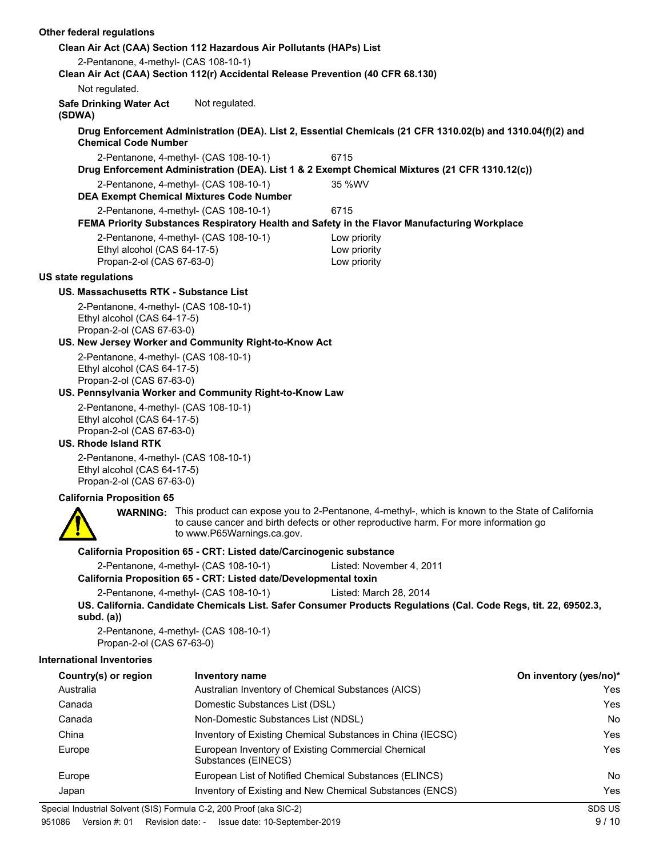### **Clean Air Act (CAA) Section 112 Hazardous Air Pollutants (HAPs) List** 2-Pentanone, 4-methyl- (CAS 108-10-1) **Clean Air Act (CAA) Section 112(r) Accidental Release Prevention (40 CFR 68.130)** Not regulated. **Safe Drinking Water Act** Not regulated. **(SDWA) Drug Enforcement Administration (DEA). List 2, Essential Chemicals (21 CFR 1310.02(b) and 1310.04(f)(2) and Chemical Code Number** 2-Pentanone, 4-methyl- (CAS 108-10-1) 6715 **Drug Enforcement Administration (DEA). List 1 & 2 Exempt Chemical Mixtures (21 CFR 1310.12(c))** 2-Pentanone, 4-methyl- (CAS 108-10-1) 35 %WV **DEA Exempt Chemical Mixtures Code Number** 2-Pentanone, 4-methyl- (CAS 108-10-1) 6715 **FEMA Priority Substances Respiratory Health and Safety in the Flavor Manufacturing Workplace** 2-Pentanone, 4-methyl- (CAS 108-10-1) Low priority Ethyl alcohol (CAS 64-17-5) Low priority Propan-2-ol (CAS 67-63-0) Low priority **US state regulations US. Massachusetts RTK - Substance List** 2-Pentanone, 4-methyl- (CAS 108-10-1) Ethyl alcohol (CAS 64-17-5) Propan-2-ol (CAS 67-63-0) **US. New Jersey Worker and Community Right-to-Know Act** 2-Pentanone, 4-methyl- (CAS 108-10-1) Ethyl alcohol (CAS 64-17-5) Propan-2-ol (CAS 67-63-0) **US. Pennsylvania Worker and Community Right-to-Know Law** 2-Pentanone, 4-methyl- (CAS 108-10-1) Ethyl alcohol (CAS 64-17-5) Propan-2-ol (CAS 67-63-0) **US. Rhode Island RTK** 2-Pentanone, 4-methyl- (CAS 108-10-1) Ethyl alcohol (CAS 64-17-5) Propan-2-ol (CAS 67-63-0) **California Proposition 65** WARNING: This product can expose you to 2-Pentanone, 4-methyl-, which is known to the State of California to cause cancer and birth defects or other reproductive harm. For more information go to www.P65Warnings.ca.gov. **California Proposition 65 - CRT: Listed date/Carcinogenic substance** 2-Pentanone, 4-methyl- (CAS 108-10-1) Listed: November 4, 2011 **California Proposition 65 - CRT: Listed date/Developmental toxin** 2-Pentanone, 4-methyl- (CAS 108-10-1) Listed: March 28, 2014 **US. California. Candidate Chemicals List. Safer Consumer Products Regulations (Cal. Code Regs, tit. 22, 69502.3, subd. (a))** 2-Pentanone, 4-methyl- (CAS 108-10-1) Propan-2-ol (CAS 67-63-0) **International Inventories Country(s) or region Inventory name On inventory (yes/no)\*** Australia Australian Inventory of Chemical Substances (AICS) Yes Canada Domestic Substances List (DSL) Yes Canada Non-Domestic Substances List (NDSL) No China Inventory of Existing Chemical Substances in China (IECSC) Yes Europe **European Inventory of Existing Commercial Chemical** Messenger Messenger and Test Substances (EINECS) Europe **European List of Notified Chemical Substances (ELINCS)** No Notice Note 2014 Japan **Inventory of Existing and New Chemical Substances (ENCS)** Yes Special Industrial Solvent (SIS) Formula C-2, 200 Proof (aka SIC-2) SDS US SDS US

**Other federal regulations**